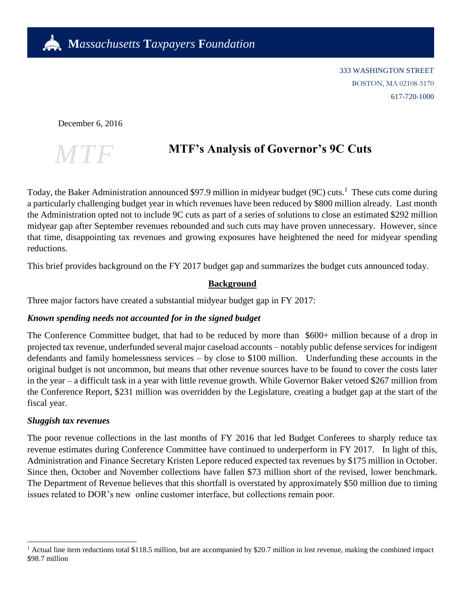

333 WASHINGTON STREET BOSTON, MA 02108-5170 617-720-1000

December 6, 2016



# **MTF's Analysis of Governor's 9C Cuts**

Today, the Baker Administration announced \$97.9 million in midyear budget (9C) cuts.<sup>1</sup> These cuts come during a particularly challenging budget year in which revenues have been reduced by \$800 million already. Last month the Administration opted not to include 9C cuts as part of a series of solutions to close an estimated \$292 million midyear gap after September revenues rebounded and such cuts may have proven unnecessary. However, since that time, disappointing tax revenues and growing exposures have heightened the need for midyear spending reductions.

This brief provides background on the FY 2017 budget gap and summarizes the budget cuts announced today.

#### **Background**

Three major factors have created a substantial midyear budget gap in FY 2017:

#### *Known spending needs not accounted for in the signed budget*

The Conference Committee budget, that had to be reduced by more than \$600+ million because of a drop in projected tax revenue, underfunded several major caseload accounts – notably public defense services for indigent defendants and family homelessness services – by close to \$100 million. Underfunding these accounts in the original budget is not uncommon, but means that other revenue sources have to be found to cover the costs later in the year – a difficult task in a year with little revenue growth. While Governor Baker vetoed \$267 million from the Conference Report, \$231 million was overridden by the Legislature, creating a budget gap at the start of the fiscal year.

#### *Sluggish tax revenues*

 $\overline{a}$ 

The poor revenue collections in the last months of FY 2016 that led Budget Conferees to sharply reduce tax revenue estimates during Conference Committee have continued to underperform in FY 2017. In light of this, Administration and Finance Secretary Kristen Lepore reduced expected tax revenues by \$175 million in October. Since then, October and November collections have fallen \$73 million short of the revised, lower benchmark. The Department of Revenue believes that this shortfall is overstated by approximately \$50 million due to timing issues related to DOR's new online customer interface, but collections remain poor.

<sup>&</sup>lt;sup>1</sup> Actual line item reductions total \$118.5 million, but are accompanied by \$20.7 million in lost revenue, making the combined impact \$98.7 million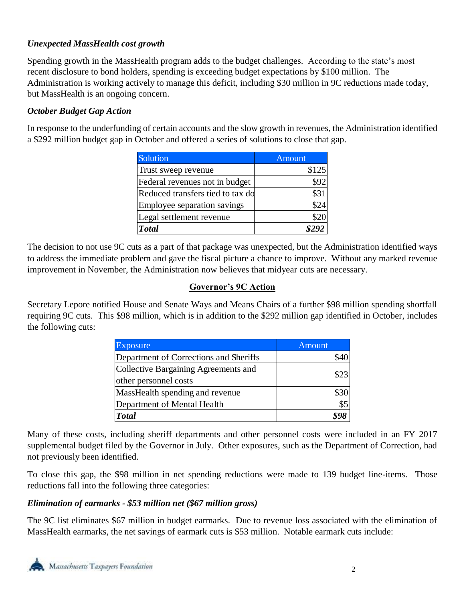## *Unexpected MassHealth cost growth*

Spending growth in the MassHealth program adds to the budget challenges. According to the state's most recent disclosure to bond holders, spending is exceeding budget expectations by \$100 million. The Administration is working actively to manage this deficit, including \$30 million in 9C reductions made today, but MassHealth is an ongoing concern.

### *October Budget Gap Action*

In response to the underfunding of certain accounts and the slow growth in revenues, the Administration identified a \$292 million budget gap in October and offered a series of solutions to close that gap.

| Solution                         | <b>Amount</b> |
|----------------------------------|---------------|
| Trust sweep revenue              | \$125         |
| Federal revenues not in budget   | \$92          |
| Reduced transfers tied to tax do | \$31          |
| Employee separation savings      | \$24          |
| Legal settlement revenue         | \$20          |
| <b>Total</b>                     |               |

The decision to not use 9C cuts as a part of that package was unexpected, but the Administration identified ways to address the immediate problem and gave the fiscal picture a chance to improve. Without any marked revenue improvement in November, the Administration now believes that midyear cuts are necessary.

#### **Governor's 9C Action**

Secretary Lepore notified House and Senate Ways and Means Chairs of a further \$98 million spending shortfall requiring 9C cuts. This \$98 million, which is in addition to the \$292 million gap identified in October, includes the following cuts:

| <b>Exposure</b>                                               | Amount |
|---------------------------------------------------------------|--------|
| Department of Corrections and Sheriffs                        |        |
| Collective Bargaining Agreements and<br>other personnel costs | \$23   |
| MassHealth spending and revenue                               |        |
| Department of Mental Health                                   | \$5    |
| <b>Total</b>                                                  |        |

Many of these costs, including sheriff departments and other personnel costs were included in an FY 2017 supplemental budget filed by the Governor in July. Other exposures, such as the Department of Correction, had not previously been identified.

To close this gap, the \$98 million in net spending reductions were made to 139 budget line-items. Those reductions fall into the following three categories:

#### *Elimination of earmarks - \$53 million net (\$67 million gross)*

The 9C list eliminates \$67 million in budget earmarks. Due to revenue loss associated with the elimination of MassHealth earmarks, the net savings of earmark cuts is \$53 million. Notable earmark cuts include: